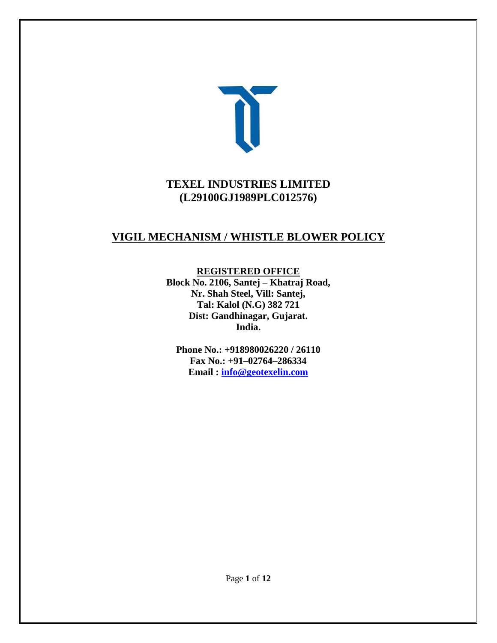

# **TEXEL INDUSTRIES LIMITED (L29100GJ1989PLC012576)**

# **VIGIL MECHANISM / WHISTLE BLOWER POLICY**

### **REGISTERED OFFICE**

**Block No. 2106, Santej – Khatraj Road, Nr. Shah Steel, Vill: Santej, Tal: Kalol (N.G) 382 721 Dist: Gandhinagar, Gujarat. India.**

**Phone No.: +918980026220 / 26110 Fax No.: +91–02764–286334 Email : [info@geotexelin.com](mailto:info@geotexelin.com)**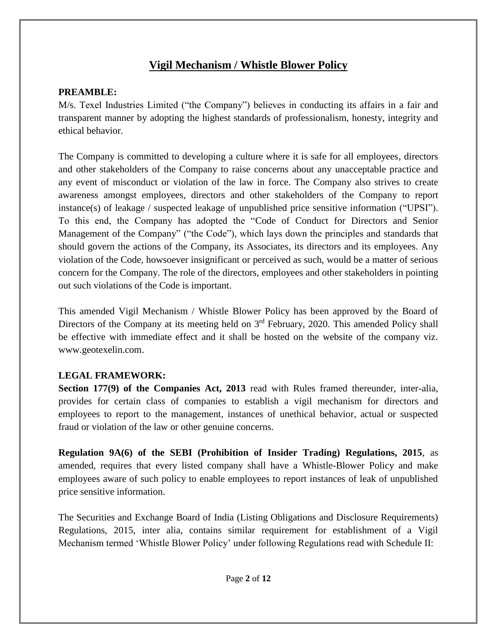# **Vigil Mechanism / Whistle Blower Policy**

## **PREAMBLE:**

M/s. Texel Industries Limited ("the Company") believes in conducting its affairs in a fair and transparent manner by adopting the highest standards of professionalism, honesty, integrity and ethical behavior.

The Company is committed to developing a culture where it is safe for all employees, directors and other stakeholders of the Company to raise concerns about any unacceptable practice and any event of misconduct or violation of the law in force. The Company also strives to create awareness amongst employees, directors and other stakeholders of the Company to report instance(s) of leakage / suspected leakage of unpublished price sensitive information ("UPSI"). To this end, the Company has adopted the "Code of Conduct for Directors and Senior Management of the Company" ("the Code"), which lays down the principles and standards that should govern the actions of the Company, its Associates, its directors and its employees. Any violation of the Code, howsoever insignificant or perceived as such, would be a matter of serious concern for the Company. The role of the directors, employees and other stakeholders in pointing out such violations of the Code is important.

This amended Vigil Mechanism / Whistle Blower Policy has been approved by the Board of Directors of the Company at its meeting held on 3<sup>rd</sup> February, 2020. This amended Policy shall be effective with immediate effect and it shall be hosted on the website of the company viz. www.geotexelin.com.

### **LEGAL FRAMEWORK:**

**Section 177(9) of the Companies Act, 2013** read with Rules framed thereunder, inter-alia, provides for certain class of companies to establish a vigil mechanism for directors and employees to report to the management, instances of unethical behavior, actual or suspected fraud or violation of the law or other genuine concerns.

**Regulation 9A(6) of the SEBI (Prohibition of Insider Trading) Regulations, 2015**, as amended, requires that every listed company shall have a Whistle-Blower Policy and make employees aware of such policy to enable employees to report instances of leak of unpublished price sensitive information.

The Securities and Exchange Board of India (Listing Obligations and Disclosure Requirements) Regulations, 2015, inter alia, contains similar requirement for establishment of a Vigil Mechanism termed 'Whistle Blower Policy' under following Regulations read with Schedule II: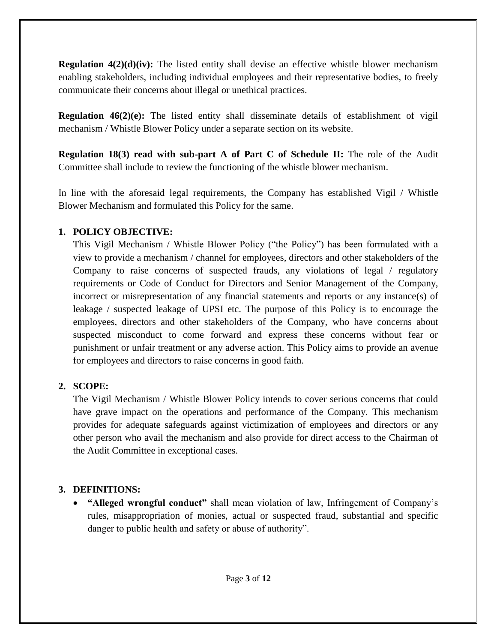**Regulation 4(2)(d)(iv):** The listed entity shall devise an effective whistle blower mechanism enabling stakeholders, including individual employees and their representative bodies, to freely communicate their concerns about illegal or unethical practices.

**Regulation 46(2)(e):** The listed entity shall disseminate details of establishment of vigil mechanism / Whistle Blower Policy under a separate section on its website.

**Regulation 18(3) read with sub-part A of Part C of Schedule II:** The role of the Audit Committee shall include to review the functioning of the whistle blower mechanism.

In line with the aforesaid legal requirements, the Company has established Vigil / Whistle Blower Mechanism and formulated this Policy for the same.

### **1. POLICY OBJECTIVE:**

This Vigil Mechanism / Whistle Blower Policy ("the Policy") has been formulated with a view to provide a mechanism / channel for employees, directors and other stakeholders of the Company to raise concerns of suspected frauds, any violations of legal / regulatory requirements or Code of Conduct for Directors and Senior Management of the Company, incorrect or misrepresentation of any financial statements and reports or any instance(s) of leakage / suspected leakage of UPSI etc. The purpose of this Policy is to encourage the employees, directors and other stakeholders of the Company, who have concerns about suspected misconduct to come forward and express these concerns without fear or punishment or unfair treatment or any adverse action. This Policy aims to provide an avenue for employees and directors to raise concerns in good faith.

### **2. SCOPE:**

The Vigil Mechanism / Whistle Blower Policy intends to cover serious concerns that could have grave impact on the operations and performance of the Company. This mechanism provides for adequate safeguards against victimization of employees and directors or any other person who avail the mechanism and also provide for direct access to the Chairman of the Audit Committee in exceptional cases.

### **3. DEFINITIONS:**

 **"Alleged wrongful conduct"** shall mean violation of law, Infringement of Company's rules, misappropriation of monies, actual or suspected fraud, substantial and specific danger to public health and safety or abuse of authority".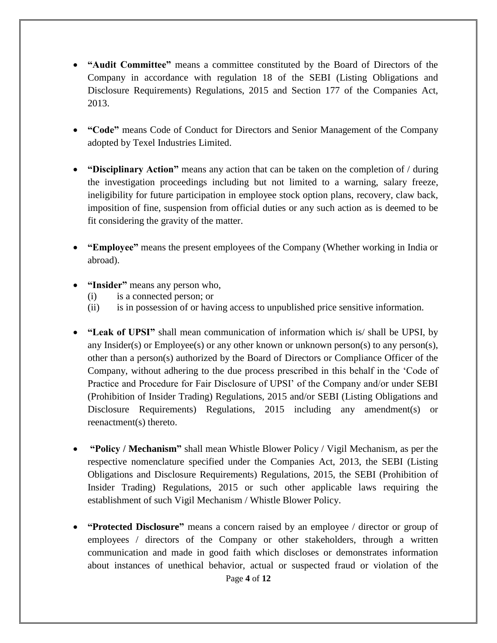- **"Audit Committee"** means a committee constituted by the Board of Directors of the Company in accordance with regulation 18 of the SEBI (Listing Obligations and Disclosure Requirements) Regulations, 2015 and Section 177 of the Companies Act, 2013.
- **"Code"** means Code of Conduct for Directors and Senior Management of the Company adopted by Texel Industries Limited.
- **"Disciplinary Action"** means any action that can be taken on the completion of / during the investigation proceedings including but not limited to a warning, salary freeze, ineligibility for future participation in employee stock option plans, recovery, claw back, imposition of fine, suspension from official duties or any such action as is deemed to be fit considering the gravity of the matter.
- **"Employee"** means the present employees of the Company (Whether working in India or abroad).
- **"Insider"** means any person who,
	- (i) is a connected person; or
	- (ii) is in possession of or having access to unpublished price sensitive information.
- **"Leak of UPSI"** shall mean communication of information which is/ shall be UPSI, by any Insider(s) or Employee(s) or any other known or unknown person(s) to any person(s), other than a person(s) authorized by the Board of Directors or Compliance Officer of the Company, without adhering to the due process prescribed in this behalf in the 'Code of Practice and Procedure for Fair Disclosure of UPSI' of the Company and/or under SEBI (Prohibition of Insider Trading) Regulations, 2015 and/or SEBI (Listing Obligations and Disclosure Requirements) Regulations, 2015 including any amendment(s) or reenactment(s) thereto.
- **"Policy / Mechanism"** shall mean Whistle Blower Policy / Vigil Mechanism, as per the respective nomenclature specified under the Companies Act, 2013, the SEBI (Listing Obligations and Disclosure Requirements) Regulations, 2015, the SEBI (Prohibition of Insider Trading) Regulations, 2015 or such other applicable laws requiring the establishment of such Vigil Mechanism / Whistle Blower Policy.
- **"Protected Disclosure"** means a concern raised by an employee / director or group of employees / directors of the Company or other stakeholders, through a written communication and made in good faith which discloses or demonstrates information about instances of unethical behavior, actual or suspected fraud or violation of the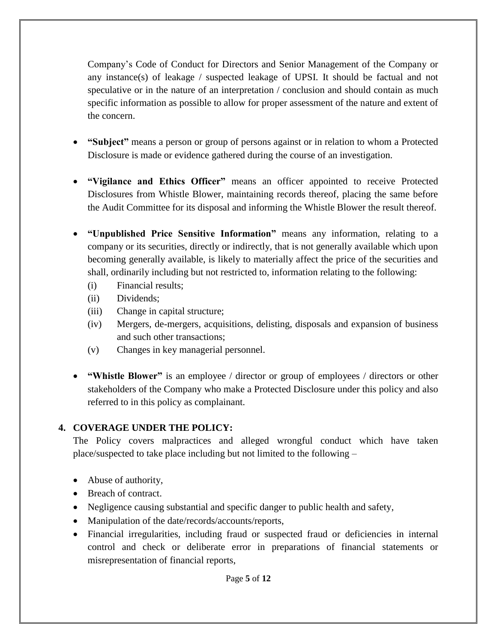Company's Code of Conduct for Directors and Senior Management of the Company or any instance(s) of leakage  $\ell$  suspected leakage of UPSI. It should be factual and not speculative or in the nature of an interpretation / conclusion and should contain as much specific information as possible to allow for proper assessment of the nature and extent of the concern.

- **"Subject"** means a person or group of persons against or in relation to whom a Protected Disclosure is made or evidence gathered during the course of an investigation.
- **"Vigilance and Ethics Officer"** means an officer appointed to receive Protected Disclosures from Whistle Blower, maintaining records thereof, placing the same before the Audit Committee for its disposal and informing the Whistle Blower the result thereof.
- **"Unpublished Price Sensitive Information"** means any information, relating to a company or its securities, directly or indirectly, that is not generally available which upon becoming generally available, is likely to materially affect the price of the securities and shall, ordinarily including but not restricted to, information relating to the following:
	- (i) Financial results;
	- (ii) Dividends;
	- (iii) Change in capital structure;
	- (iv) Mergers, de-mergers, acquisitions, delisting, disposals and expansion of business and such other transactions;
	- (v) Changes in key managerial personnel.
- **"Whistle Blower"** is an employee / director or group of employees / directors or other stakeholders of the Company who make a Protected Disclosure under this policy and also referred to in this policy as complainant.

# **4. COVERAGE UNDER THE POLICY:**

The Policy covers malpractices and alleged wrongful conduct which have taken place/suspected to take place including but not limited to the following –

- Abuse of authority,
- Breach of contract.
- Negligence causing substantial and specific danger to public health and safety,
- Manipulation of the date/records/accounts/reports,
- Financial irregularities, including fraud or suspected fraud or deficiencies in internal control and check or deliberate error in preparations of financial statements or misrepresentation of financial reports,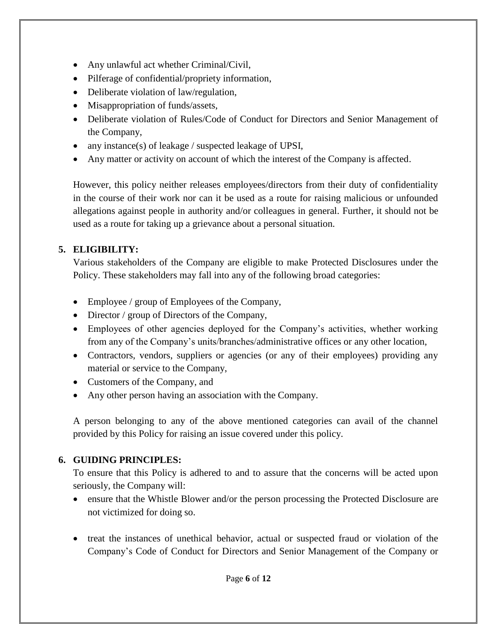- Any unlawful act whether Criminal/Civil,
- Pilferage of confidential/propriety information,
- Deliberate violation of law/regulation,
- Misappropriation of funds/assets,
- Deliberate violation of Rules/Code of Conduct for Directors and Senior Management of the Company,
- any instance(s) of leakage / suspected leakage of UPSI,
- Any matter or activity on account of which the interest of the Company is affected.

However, this policy neither releases employees/directors from their duty of confidentiality in the course of their work nor can it be used as a route for raising malicious or unfounded allegations against people in authority and/or colleagues in general. Further, it should not be used as a route for taking up a grievance about a personal situation.

# **5. ELIGIBILITY:**

Various stakeholders of the Company are eligible to make Protected Disclosures under the Policy. These stakeholders may fall into any of the following broad categories:

- Employee / group of Employees of the Company,
- Director / group of Directors of the Company,
- Employees of other agencies deployed for the Company's activities, whether working from any of the Company's units/branches/administrative offices or any other location,
- Contractors, vendors, suppliers or agencies (or any of their employees) providing any material or service to the Company,
- Customers of the Company, and
- Any other person having an association with the Company.

A person belonging to any of the above mentioned categories can avail of the channel provided by this Policy for raising an issue covered under this policy.

# **6. GUIDING PRINCIPLES:**

To ensure that this Policy is adhered to and to assure that the concerns will be acted upon seriously, the Company will:

- ensure that the Whistle Blower and/or the person processing the Protected Disclosure are not victimized for doing so.
- treat the instances of unethical behavior, actual or suspected fraud or violation of the Company's Code of Conduct for Directors and Senior Management of the Company or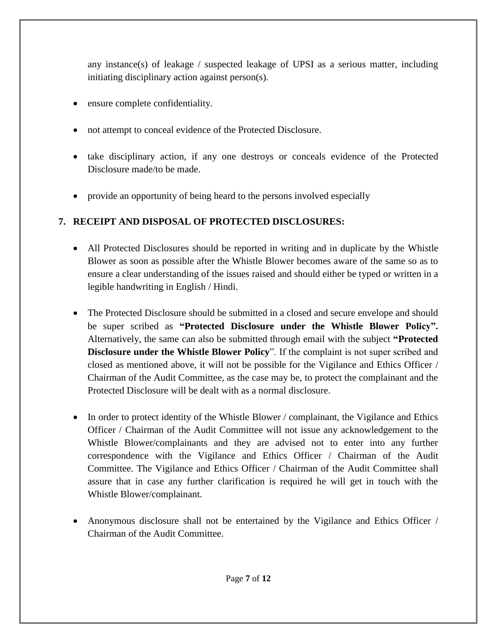any instance(s) of leakage / suspected leakage of UPSI as a serious matter, including initiating disciplinary action against person(s).

- ensure complete confidentiality.
- not attempt to conceal evidence of the Protected Disclosure.
- take disciplinary action, if any one destroys or conceals evidence of the Protected Disclosure made/to be made.
- provide an opportunity of being heard to the persons involved especially

# **7. RECEIPT AND DISPOSAL OF PROTECTED DISCLOSURES:**

- All Protected Disclosures should be reported in writing and in duplicate by the Whistle Blower as soon as possible after the Whistle Blower becomes aware of the same so as to ensure a clear understanding of the issues raised and should either be typed or written in a legible handwriting in English / Hindi.
- The Protected Disclosure should be submitted in a closed and secure envelope and should be super scribed as **"Protected Disclosure under the Whistle Blower Policy".** Alternatively, the same can also be submitted through email with the subject **"Protected Disclosure under the Whistle Blower Policy**". If the complaint is not super scribed and closed as mentioned above, it will not be possible for the Vigilance and Ethics Officer / Chairman of the Audit Committee, as the case may be, to protect the complainant and the Protected Disclosure will be dealt with as a normal disclosure.
- In order to protect identity of the Whistle Blower / complainant, the Vigilance and Ethics Officer / Chairman of the Audit Committee will not issue any acknowledgement to the Whistle Blower/complainants and they are advised not to enter into any further correspondence with the Vigilance and Ethics Officer / Chairman of the Audit Committee. The Vigilance and Ethics Officer / Chairman of the Audit Committee shall assure that in case any further clarification is required he will get in touch with the Whistle Blower/complainant.
- Anonymous disclosure shall not be entertained by the Vigilance and Ethics Officer / Chairman of the Audit Committee.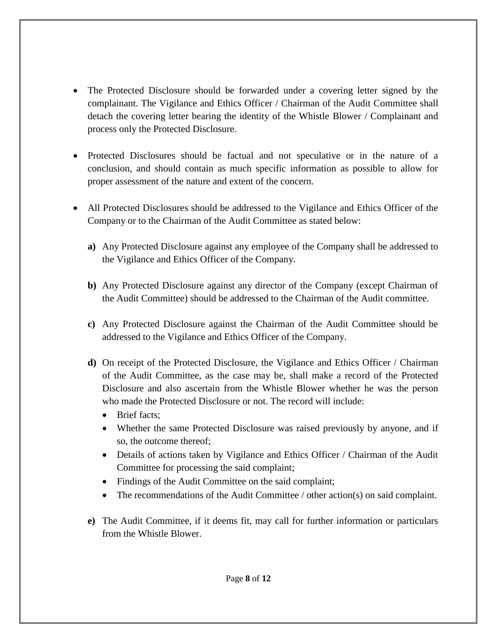- The Protected Disclosure should be forwarded under a covering letter signed by the complainant. The Vigilance and Ethics Officer / Chairman of the Audit Committee shall detach the covering letter bearing the identity of the Whistle Blower / Complainant and process only the Protected Disclosure.
- Protected Disclosures should be factual and not speculative or in the nature of a conclusion, and should contain as much specific information as possible to allow for proper assessment of the nature and extent of the concern.
- All Protected Disclosures should be addressed to the Vigilance and Ethics Officer of the Company or to the Chairman of the Audit Committee as stated below:
	- **a)** Any Protected Disclosure against any employee of the Company shall be addressed to the Vigilance and Ethics Officer of the Company.
	- **b)** Any Protected Disclosure against any director of the Company (except Chairman of the Audit Committee) should be addressed to the Chairman of the Audit committee.
	- **c)** Any Protected Disclosure against the Chairman of the Audit Committee should be addressed to the Vigilance and Ethics Officer of the Company.
	- **d)** On receipt of the Protected Disclosure, the Vigilance and Ethics Officer / Chairman of the Audit Committee, as the case may be, shall make a record of the Protected Disclosure and also ascertain from the Whistle Blower whether he was the person who made the Protected Disclosure or not. The record will include:
		- Brief facts:
		- Whether the same Protected Disclosure was raised previously by anyone, and if so, the outcome thereof;
		- Details of actions taken by Vigilance and Ethics Officer / Chairman of the Audit Committee for processing the said complaint;
		- Findings of the Audit Committee on the said complaint;
		- The recommendations of the Audit Committee / other action(s) on said complaint.
	- **e)** The Audit Committee, if it deems fit, may call for further information or particulars from the Whistle Blower.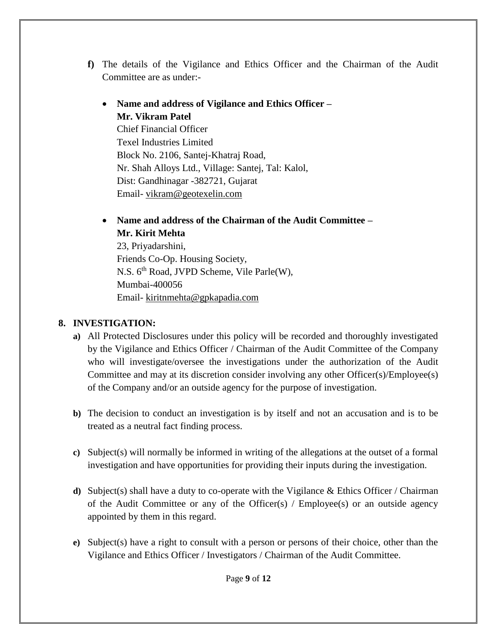- **f)** The details of the Vigilance and Ethics Officer and the Chairman of the Audit Committee are as under:-
	- **Name and address of Vigilance and Ethics Officer – Mr. Vikram Patel** Chief Financial Officer Texel Industries Limited Block No. 2106, Santej-Khatraj Road, Nr. Shah Alloys Ltd., Village: Santej, Tal: Kalol, Dist: Gandhinagar -382721, Gujarat Email- [vikram@geotexelin.com](mailto:vikram@geotexelin.com)
	- **Name and address of the Chairman of the Audit Committee – Mr. Kirit Mehta**

23, Priyadarshini, Friends Co-Op. Housing Society, N.S. 6<sup>th</sup> Road, JVPD Scheme, Vile Parle(W), Mumbai-400056 Email- [kiritnmehta@gpkapadia.com](mailto:kiritnmehta@gpkapadia.com)

# **8. INVESTIGATION:**

- **a)** All Protected Disclosures under this policy will be recorded and thoroughly investigated by the Vigilance and Ethics Officer / Chairman of the Audit Committee of the Company who will investigate/oversee the investigations under the authorization of the Audit Committee and may at its discretion consider involving any other Officer(s)/Employee(s) of the Company and/or an outside agency for the purpose of investigation.
- **b)** The decision to conduct an investigation is by itself and not an accusation and is to be treated as a neutral fact finding process.
- **c)** Subject(s) will normally be informed in writing of the allegations at the outset of a formal investigation and have opportunities for providing their inputs during the investigation.
- **d)** Subject(s) shall have a duty to co-operate with the Vigilance & Ethics Officer / Chairman of the Audit Committee or any of the Officer(s) / Employee(s) or an outside agency appointed by them in this regard.
- **e)** Subject(s) have a right to consult with a person or persons of their choice, other than the Vigilance and Ethics Officer / Investigators / Chairman of the Audit Committee.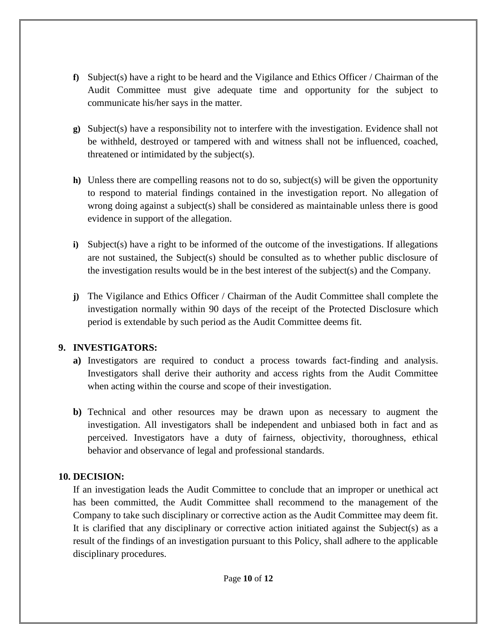- **f)** Subject(s) have a right to be heard and the Vigilance and Ethics Officer / Chairman of the Audit Committee must give adequate time and opportunity for the subject to communicate his/her says in the matter.
- **g)** Subject(s) have a responsibility not to interfere with the investigation. Evidence shall not be withheld, destroyed or tampered with and witness shall not be influenced, coached, threatened or intimidated by the subject(s).
- **h)** Unless there are compelling reasons not to do so, subject(s) will be given the opportunity to respond to material findings contained in the investigation report. No allegation of wrong doing against a subject(s) shall be considered as maintainable unless there is good evidence in support of the allegation.
- **i)** Subject(s) have a right to be informed of the outcome of the investigations. If allegations are not sustained, the Subject(s) should be consulted as to whether public disclosure of the investigation results would be in the best interest of the subject(s) and the Company.
- **j)** The Vigilance and Ethics Officer / Chairman of the Audit Committee shall complete the investigation normally within 90 days of the receipt of the Protected Disclosure which period is extendable by such period as the Audit Committee deems fit.

### **9. INVESTIGATORS:**

- **a)** Investigators are required to conduct a process towards fact-finding and analysis. Investigators shall derive their authority and access rights from the Audit Committee when acting within the course and scope of their investigation.
- **b)** Technical and other resources may be drawn upon as necessary to augment the investigation. All investigators shall be independent and unbiased both in fact and as perceived. Investigators have a duty of fairness, objectivity, thoroughness, ethical behavior and observance of legal and professional standards.

### **10. DECISION:**

If an investigation leads the Audit Committee to conclude that an improper or unethical act has been committed, the Audit Committee shall recommend to the management of the Company to take such disciplinary or corrective action as the Audit Committee may deem fit. It is clarified that any disciplinary or corrective action initiated against the Subject(s) as a result of the findings of an investigation pursuant to this Policy, shall adhere to the applicable disciplinary procedures.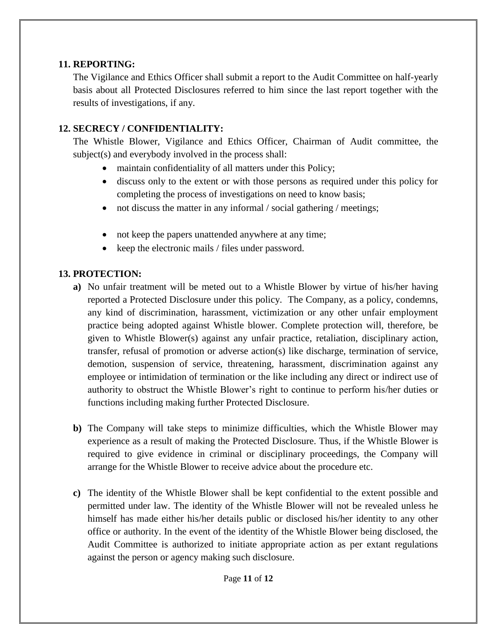### **11. REPORTING:**

The Vigilance and Ethics Officer shall submit a report to the Audit Committee on half-yearly basis about all Protected Disclosures referred to him since the last report together with the results of investigations, if any.

## **12. SECRECY / CONFIDENTIALITY:**

The Whistle Blower, Vigilance and Ethics Officer, Chairman of Audit committee, the subject(s) and everybody involved in the process shall:

- maintain confidentiality of all matters under this Policy;
- discuss only to the extent or with those persons as required under this policy for completing the process of investigations on need to know basis;
- not discuss the matter in any informal / social gathering / meetings;
- not keep the papers unattended anywhere at any time;
- $\bullet$  keep the electronic mails / files under password.

## **13. PROTECTION:**

- **a)** No unfair treatment will be meted out to a Whistle Blower by virtue of his/her having reported a Protected Disclosure under this policy. The Company, as a policy, condemns, any kind of discrimination, harassment, victimization or any other unfair employment practice being adopted against Whistle blower. Complete protection will, therefore, be given to Whistle Blower(s) against any unfair practice, retaliation, disciplinary action, transfer, refusal of promotion or adverse action(s) like discharge, termination of service, demotion, suspension of service, threatening, harassment, discrimination against any employee or intimidation of termination or the like including any direct or indirect use of authority to obstruct the Whistle Blower's right to continue to perform his/her duties or functions including making further Protected Disclosure.
- **b)** The Company will take steps to minimize difficulties, which the Whistle Blower may experience as a result of making the Protected Disclosure. Thus, if the Whistle Blower is required to give evidence in criminal or disciplinary proceedings, the Company will arrange for the Whistle Blower to receive advice about the procedure etc.
- **c)** The identity of the Whistle Blower shall be kept confidential to the extent possible and permitted under law. The identity of the Whistle Blower will not be revealed unless he himself has made either his/her details public or disclosed his/her identity to any other office or authority. In the event of the identity of the Whistle Blower being disclosed, the Audit Committee is authorized to initiate appropriate action as per extant regulations against the person or agency making such disclosure.